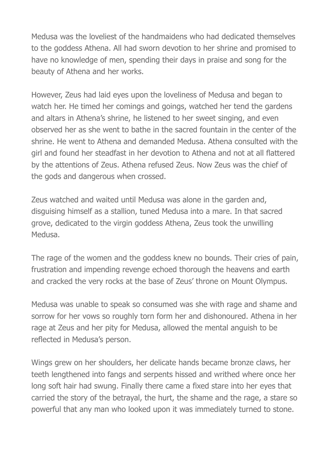Medusa was the loveliest of the handmaidens who had dedicated themselves to the goddess Athena. All had sworn devotion to her shrine and promised to have no knowledge of men, spending their days in praise and song for the beauty of Athena and her works.

However, Zeus had laid eyes upon the loveliness of Medusa and began to watch her. He timed her comings and goings, watched her tend the gardens and altars in Athena's shrine, he listened to her sweet singing, and even observed her as she went to bathe in the sacred fountain in the center of the shrine. He went to Athena and demanded Medusa. Athena consulted with the girl and found her steadfast in her devotion to Athena and not at all flattered by the attentions of Zeus. Athena refused Zeus. Now Zeus was the chief of the gods and dangerous when crossed.

Zeus watched and waited until Medusa was alone in the garden and, disguising himself as a stallion, tuned Medusa into a mare. In that sacred grove, dedicated to the virgin goddess Athena, Zeus took the unwilling Medusa.

The rage of the women and the goddess knew no bounds. Their cries of pain, frustration and impending revenge echoed thorough the heavens and earth and cracked the very rocks at the base of Zeus' throne on Mount Olympus.

Medusa was unable to speak so consumed was she with rage and shame and sorrow for her vows so roughly torn form her and dishonoured. Athena in her rage at Zeus and her pity for Medusa, allowed the mental anguish to be reflected in Medusa's person.

Wings grew on her shoulders, her delicate hands became bronze claws, her teeth lengthened into fangs and serpents hissed and writhed where once her long soft hair had swung. Finally there came a fixed stare into her eyes that carried the story of the betrayal, the hurt, the shame and the rage, a stare so powerful that any man who looked upon it was immediately turned to stone.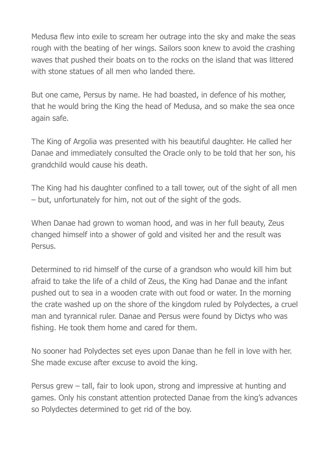Medusa flew into exile to scream her outrage into the sky and make the seas rough with the beating of her wings. Sailors soon knew to avoid the crashing waves that pushed their boats on to the rocks on the island that was littered with stone statues of all men who landed there.

But one came, Persus by name. He had boasted, in defence of his mother, that he would bring the King the head of Medusa, and so make the sea once again safe.

The King of Argolia was presented with his beautiful daughter. He called her Danae and immediately consulted the Oracle only to be told that her son, his grandchild would cause his death.

The King had his daughter confined to a tall tower, out of the sight of all men – but, unfortunately for him, not out of the sight of the gods.

When Danae had grown to woman hood, and was in her full beauty, Zeus changed himself into a shower of gold and visited her and the result was Persus.

Determined to rid himself of the curse of a grandson who would kill him but afraid to take the life of a child of Zeus, the King had Danae and the infant pushed out to sea in a wooden crate with out food or water. In the morning the crate washed up on the shore of the kingdom ruled by Polydectes, a cruel man and tyrannical ruler. Danae and Persus were found by Dictys who was fishing. He took them home and cared for them.

No sooner had Polydectes set eyes upon Danae than he fell in love with her. She made excuse after excuse to avoid the king.

Persus grew – tall, fair to look upon, strong and impressive at hunting and games. Only his constant attention protected Danae from the king's advances so Polydectes determined to get rid of the boy.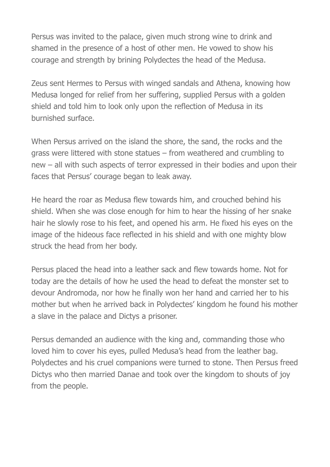Persus was invited to the palace, given much strong wine to drink and shamed in the presence of a host of other men. He vowed to show his courage and strength by brining Polydectes the head of the Medusa.

Zeus sent Hermes to Persus with winged sandals and Athena, knowing how Medusa longed for relief from her suffering, supplied Persus with a golden shield and told him to look only upon the reflection of Medusa in its burnished surface.

When Persus arrived on the island the shore, the sand, the rocks and the grass were littered with stone statues – from weathered and crumbling to new – all with such aspects of terror expressed in their bodies and upon their faces that Persus' courage began to leak away.

He heard the roar as Medusa flew towards him, and crouched behind his shield. When she was close enough for him to hear the hissing of her snake hair he slowly rose to his feet, and opened his arm. He fixed his eyes on the image of the hideous face reflected in his shield and with one mighty blow struck the head from her body.

Persus placed the head into a leather sack and flew towards home. Not for today are the details of how he used the head to defeat the monster set to devour Andromoda, nor how he finally won her hand and carried her to his mother but when he arrived back in Polydectes' kingdom he found his mother a slave in the palace and Dictys a prisoner.

Persus demanded an audience with the king and, commanding those who loved him to cover his eyes, pulled Medusa's head from the leather bag. Polydectes and his cruel companions were turned to stone. Then Persus freed Dictys who then married Danae and took over the kingdom to shouts of joy from the people.